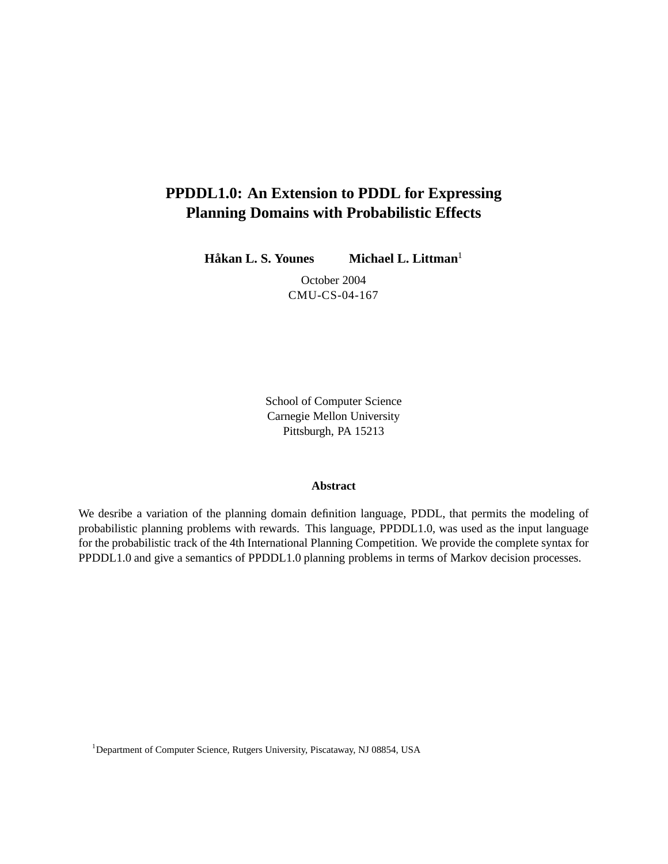# **PPDDL1.0: An Extension to PDDL for Expressing Planning Domains with Probabilistic Effects**

**Håkan L. S. Younes** Michael L. Littman<sup>1</sup>

October 2004 CMU-CS-04-167

School of Computer Science Carnegie Mellon University Pittsburgh, PA 15213

#### **Abstract**

We desribe a variation of the planning domain definition language, PDDL, that permits the modeling of probabilistic planning problems with rewards. This language, PPDDL1.0, was used as the input language for the probabilistic track of the 4th International Planning Competition. We provide the complete syntax for PPDDL1.0 and give a semantics of PPDDL1.0 planning problems in terms of Markov decision processes.

<sup>1</sup>Department of Computer Science, Rutgers University, Piscataway, NJ 08854, USA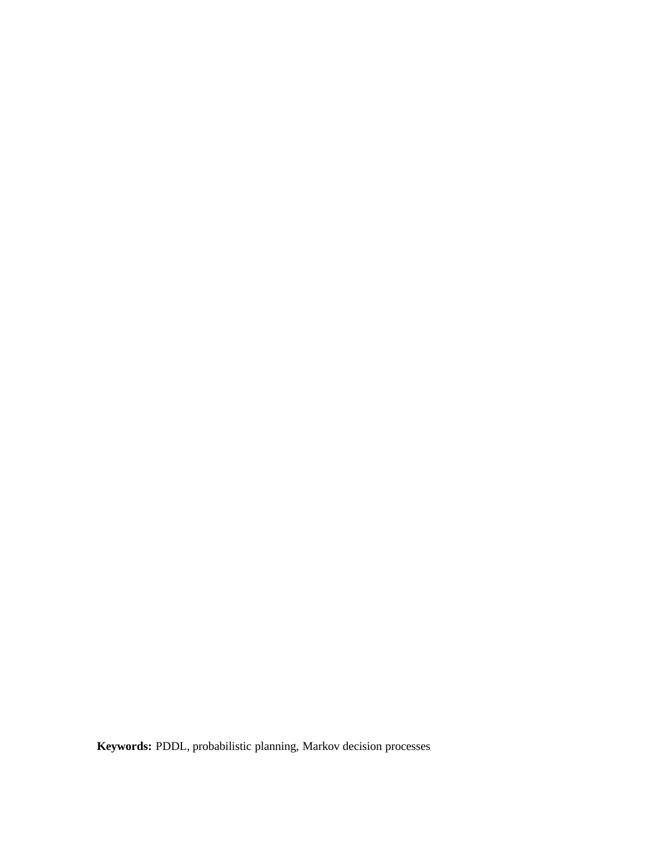**Keywords:** PDDL, probabilistic planning, Markov decision processes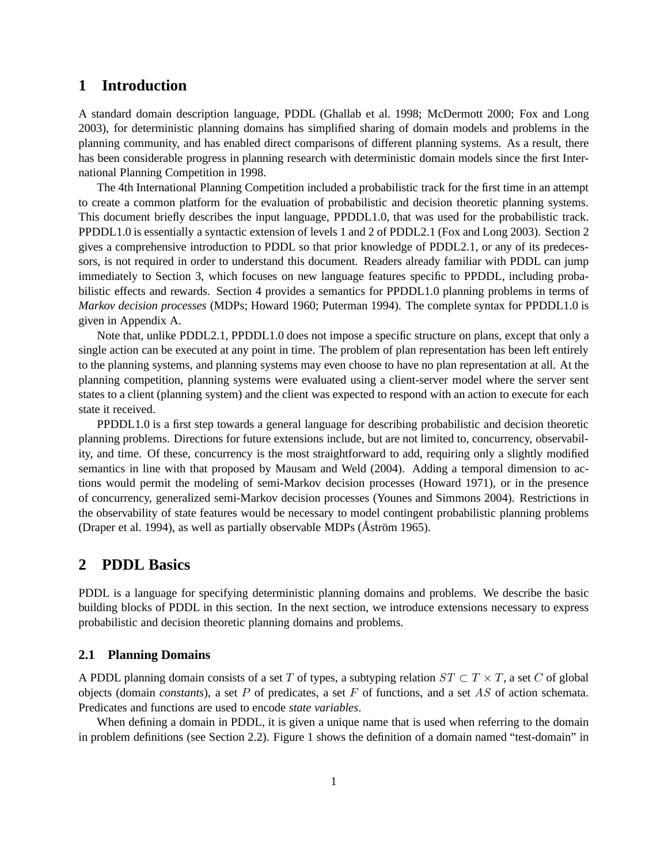### **1 Introduction**

A standard domain description language, PDDL (Ghallab et al. 1998; McDermott 2000; Fox and Long 2003), for deterministic planning domains has simplified sharing of domain models and problems in the planning community, and has enabled direct comparisons of different planning systems. As a result, there has been considerable progress in planning research with deterministic domain models since the first International Planning Competition in 1998.

The 4th International Planning Competition included a probabilistic track for the first time in an attempt to create a common platform for the evaluation of probabilistic and decision theoretic planning systems. This document briefly describes the input language, PPDDL1.0, that was used for the probabilistic track. PPDDL1.0 is essentially a syntactic extension of levels 1 and 2 of PDDL2.1 (Fox and Long 2003). Section 2 gives a comprehensive introduction to PDDL so that prior knowledge of PDDL2.1, or any of its predecessors, is not required in order to understand this document. Readers already familiar with PDDL can jump immediately to Section 3, which focuses on new language features specific to PPDDL, including probabilistic effects and rewards. Section 4 provides a semantics for PPDDL1.0 planning problems in terms of *Markov decision processes* (MDPs; Howard 1960; Puterman 1994). The complete syntax for PPDDL1.0 is given in Appendix A.

Note that, unlike PDDL2.1, PPDDL1.0 does not impose a specific structure on plans, except that only a single action can be executed at any point in time. The problem of plan representation has been left entirely to the planning systems, and planning systems may even choose to have no plan representation at all. At the planning competition, planning systems were evaluated using a client-server model where the server sent states to a client (planning system) and the client was expected to respond with an action to execute for each state it received.

PPDDL1.0 is a first step towards a general language for describing probabilistic and decision theoretic planning problems. Directions for future extensions include, but are not limited to, concurrency, observability, and time. Of these, concurrency is the most straightforward to add, requiring only a slightly modified semantics in line with that proposed by Mausam and Weld (2004). Adding a temporal dimension to actions would permit the modeling of semi-Markov decision processes (Howard 1971), or in the presence of concurrency, generalized semi-Markov decision processes (Younes and Simmons 2004). Restrictions in the observability of state features would be necessary to model contingent probabilistic planning problems (Draper et al. 1994), as well as partially observable MDPs (Åström 1965).

# **2 PDDL Basics**

PDDL is a language for specifying deterministic planning domains and problems. We describe the basic building blocks of PDDL in this section. In the next section, we introduce extensions necessary to express probabilistic and decision theoretic planning domains and problems.

#### **2.1 Planning Domains**

A PDDL planning domain consists of a set T of types, a subtyping relation  $ST \subset T \times T$ , a set C of global objects (domain *constants*), a set P of predicates, a set F of functions, and a set *AS* of action schemata. Predicates and functions are used to encode *state variables*.

When defining a domain in PDDL, it is given a unique name that is used when referring to the domain in problem definitions (see Section 2.2). Figure 1 shows the definition of a domain named "test-domain" in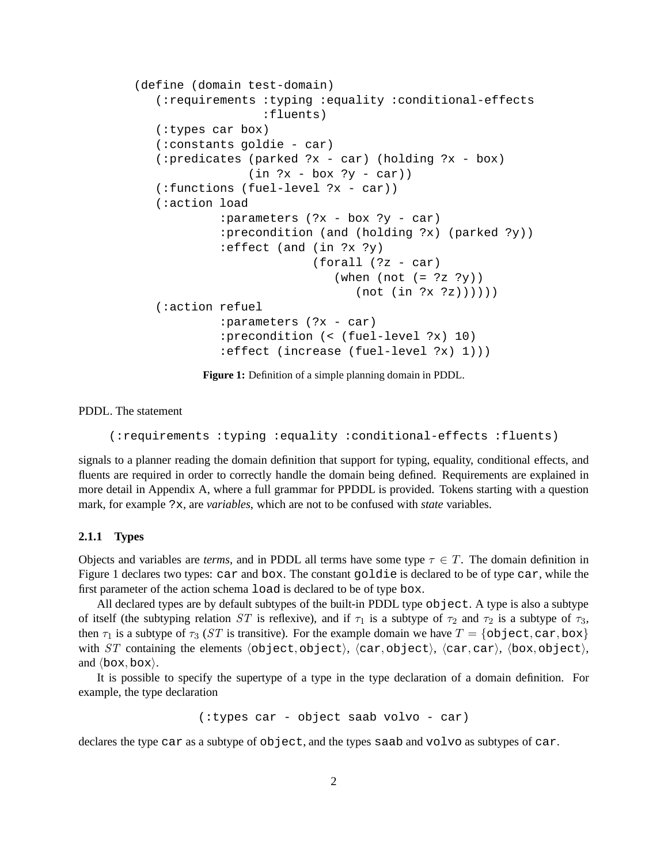```
(define (domain test-domain)
   (:requirements :typing :equality :conditional-effects
                  :fluents)
  (:types car box)
  (:constants goldie - car)
  (:predicates (parked ?x - car) (holding ?x - box)
                (in  ?x - box ?y - car))(:functions (fuel-level ?x - car))
  (:action load
            :parameters (?x - box ?y - car)
            :precondition (and (holding ?x) (parked ?y))
            :effect (and (in ?x ?y)
                         (forall (?z - car)
                            (when (not (= ?z ?y))
                               (not (in ?x ?z))))))
  (:action refuel
            :parameters (?x - car)
            :precondition (< (fuel-level ?x) 10)
            :effect (increase (fuel-level ?x) 1)))
```
**Figure 1:** Definition of a simple planning domain in PDDL.

PDDL. The statement

(:requirements :typing :equality :conditional-effects :fluents)

signals to a planner reading the domain definition that support for typing, equality, conditional effects, and fluents are required in order to correctly handle the domain being defined. Requirements are explained in more detail in Appendix A, where a full grammar for PPDDL is provided. Tokens starting with a question mark, for example ?x, are *variables*, which are not to be confused with *state* variables.

#### **2.1.1 Types**

Objects and variables are *terms*, and in PDDL all terms have some type  $\tau \in T$ . The domain definition in Figure 1 declares two types: car and box. The constant goldie is declared to be of type car, while the first parameter of the action schema load is declared to be of type box.

All declared types are by default subtypes of the built-in PDDL type object. A type is also a subtype of itself (the subtyping relation *ST* is reflexive), and if  $\tau_1$  is a subtype of  $\tau_2$  and  $\tau_2$  is a subtype of  $\tau_3$ , then  $\tau_1$  is a subtype of  $\tau_3$  (*ST* is transitive). For the example domain we have  $T = \{\text{object}, \text{car}, \text{box}\}\$ with *ST* containing the elements  $\langle$ object, object $\rangle$ ,  $\langle$ car, object $\rangle$ ,  $\langle$ car, car $\rangle$ ,  $\langle$ box, object $\rangle$ , and  $\langle$ box, box $\rangle$ .

It is possible to specify the supertype of a type in the type declaration of a domain definition. For example, the type declaration

(:types car - object saab volvo - car)

declares the type car as a subtype of object, and the types saab and volvo as subtypes of car.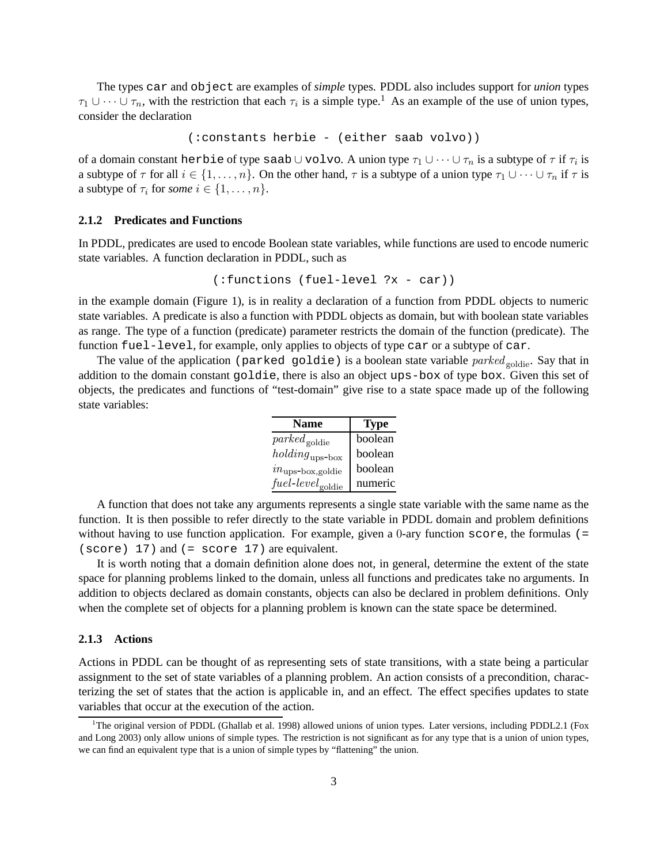The types car and object are examples of *simple* types. PDDL also includes support for *union* types  $\tau_1 \cup \cdots \cup \tau_n$ , with the restriction that each  $\tau_i$  is a simple type.<sup>1</sup> As an example of the use of union types, consider the declaration

(:constants herbie - (either saab volvo))

of a domain constant herbie of type saab ∪ volvo. A union type  $\tau_1 \cup \cdots \cup \tau_n$  is a subtype of  $\tau$  if  $\tau_i$  is a subtype of  $\tau$  for all  $i \in \{1,\ldots,n\}$ . On the other hand,  $\tau$  is a subtype of a union type  $\tau_1 \cup \cdots \cup \tau_n$  if  $\tau$  is a subtype of  $\tau_i$  for *some*  $i \in \{1, \ldots, n\}.$ 

#### **2.1.2 Predicates and Functions**

In PDDL, predicates are used to encode Boolean state variables, while functions are used to encode numeric state variables. A function declaration in PDDL, such as

```
(:functions (fuel-level ?x - car))
```
in the example domain (Figure 1), is in reality a declaration of a function from PDDL objects to numeric state variables. A predicate is also a function with PDDL objects as domain, but with boolean state variables as range. The type of a function (predicate) parameter restricts the domain of the function (predicate). The function fuel-level, for example, only applies to objects of type car or a subtype of car.

The value of the application (parked goldie) is a boolean state variable *parked* <sub>goldie</sub>. Say that in addition to the domain constant goldie, there is also an object ups-box of type box. Given this set of objects, the predicates and functions of "test-domain" give rise to a state space made up of the following state variables:

| <b>Name</b>                         | <b>Type</b> |
|-------------------------------------|-------------|
| $\mathit{parked}_{\mathrm{goldie}}$ | boolean     |
| $holding_{\rm ups-box}$             | boolean     |
| $in_{\text{ups-box,goldie}}$        | boolean     |
| $fuel-level_{\text{goldie}}$        | numeric     |

A function that does not take any arguments represents a single state variable with the same name as the function. It is then possible to refer directly to the state variable in PDDL domain and problem definitions without having to use function application. For example, given a 0-ary function score, the formulas (= (score) 17) and (= score 17) are equivalent.

It is worth noting that a domain definition alone does not, in general, determine the extent of the state space for planning problems linked to the domain, unless all functions and predicates take no arguments. In addition to objects declared as domain constants, objects can also be declared in problem definitions. Only when the complete set of objects for a planning problem is known can the state space be determined.

#### **2.1.3 Actions**

Actions in PDDL can be thought of as representing sets of state transitions, with a state being a particular assignment to the set of state variables of a planning problem. An action consists of a precondition, characterizing the set of states that the action is applicable in, and an effect. The effect specifies updates to state variables that occur at the execution of the action.

<sup>&</sup>lt;sup>1</sup>The original version of PDDL (Ghallab et al. 1998) allowed unions of union types. Later versions, including PDDL2.1 (Fox and Long 2003) only allow unions of simple types. The restriction is not significant as for any type that is a union of union types, we can find an equivalent type that is a union of simple types by "flattening" the union.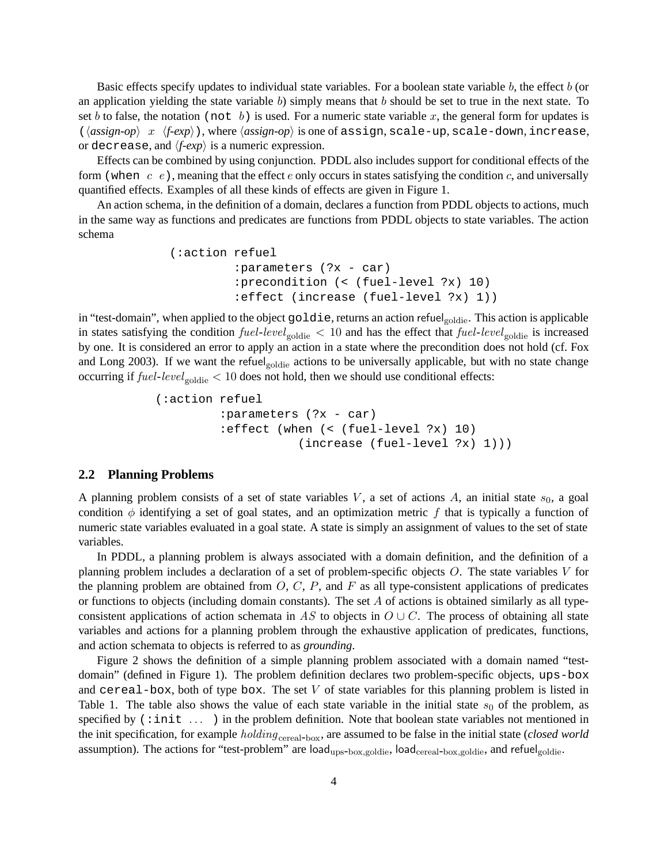Basic effects specify updates to individual state variables. For a boolean state variable b, the effect b (or an application yielding the state variable  $b$ ) simply means that  $b$  should be set to true in the next state. To set b to false, the notation (not b) is used. For a numeric state variable x, the general form for updates is  $\langle \langle assign-op \rangle \ x \ \langle f-exp \rangle$ , where  $\langle assign-op \rangle$  is one of assign, scale-up, scale-down, increase, or decrease, and  $\langle f\text{-}exp \rangle$  is a numeric expression.

Effects can be combined by using conjunction. PDDL also includes support for conditional effects of the form (when  $c \, e$ ), meaning that the effect e only occurs in states satisfying the condition c, and universally quantified effects. Examples of all these kinds of effects are given in Figure 1.

An action schema, in the definition of a domain, declares a function from PDDL objects to actions, much in the same way as functions and predicates are functions from PDDL objects to state variables. The action schema

```
(:action refuel
         :parameters (?x - car)
         :precondition (< (fuel-level ?x) 10)
         :effect (increase (fuel-level ?x) 1))
```
in "test-domain", when applied to the object goldie, returns an action refuelgoldie. This action is applicable in states satisfying the condition  $fuel$ - $level_{goldie}$  < 10 and has the effect that  $fuel$ - $level_{goldie}$  is increased by one. It is considered an error to apply an action in a state where the precondition does not hold (cf. Fox and Long 2003). If we want the refuel<sub>goldie</sub> actions to be universally applicable, but with no state change occurring if  $fuel-level_{\text{goldie}} < 10$  does not hold, then we should use conditional effects:

```
(:action refuel
         :parameters (?x - car)
         :effect (when (< (fuel-level ?x) 10)
                    (increase (fuel-level ?x) 1)))
```
#### **2.2 Planning Problems**

A planning problem consists of a set of state variables  $V$ , a set of actions  $A$ , an initial state  $s<sub>0</sub>$ , a goal condition  $\phi$  identifying a set of goal states, and an optimization metric f that is typically a function of numeric state variables evaluated in a goal state. A state is simply an assignment of values to the set of state variables.

In PDDL, a planning problem is always associated with a domain definition, and the definition of a planning problem includes a declaration of a set of problem-specific objects O. The state variables V for the planning problem are obtained from  $O, C, P$ , and  $F$  as all type-consistent applications of predicates or functions to objects (including domain constants). The set  $A$  of actions is obtained similarly as all typeconsistent applications of action schemata in *AS* to objects in  $O \cup C$ . The process of obtaining all state variables and actions for a planning problem through the exhaustive application of predicates, functions, and action schemata to objects is referred to as *grounding*.

Figure 2 shows the definition of a simple planning problem associated with a domain named "testdomain" (defined in Figure 1). The problem definition declares two problem-specific objects, ups-box and cereal-box, both of type box. The set V of state variables for this planning problem is listed in Table 1. The table also shows the value of each state variable in the initial state  $s<sub>0</sub>$  of the problem, as specified by  $(:init...)$  in the problem definition. Note that boolean state variables not mentioned in the init specification, for example *holding* cereal-box, are assumed to be false in the initial state (*closed world* assumption). The actions for "test-problem" are load<sub>ups-box,goldie</sub>, load<sub>cereal-box,goldie</sub>, and refuel<sub>goldie</sub>.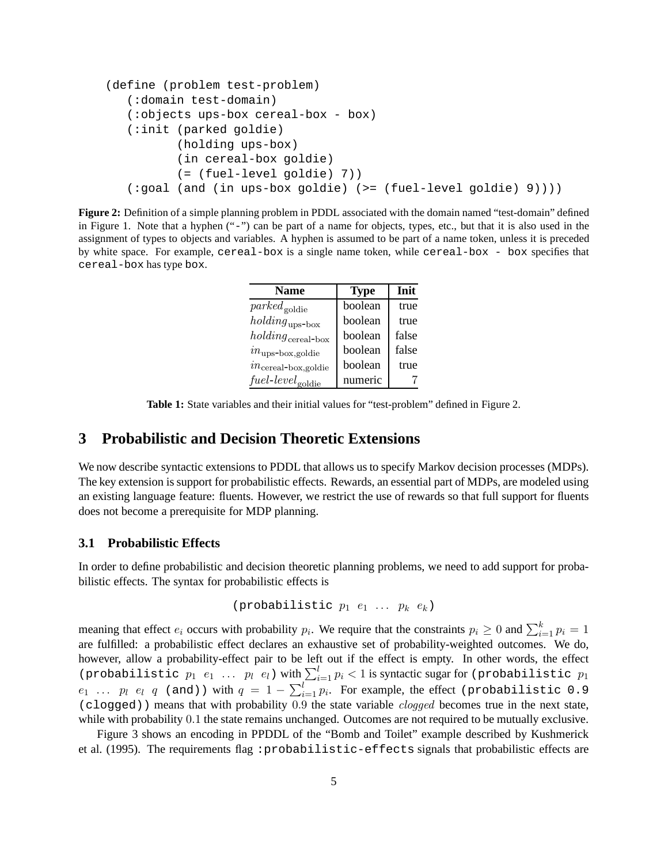```
(define (problem test-problem)
   (:domain test-domain)
   (:objects ups-box cereal-box - box)
   (:init (parked goldie)
          (holding ups-box)
          (in cereal-box goldie)
          (= (fuel-level goldie) 7))
   (:goal (and (in ups-box goldie) (>= (fuel-level goldie) 9))))
```
**Figure 2:** Definition of a simple planning problem in PDDL associated with the domain named "test-domain" defined in Figure 1. Note that a hyphen ("-") can be part of a name for objects, types, etc., but that it is also used in the assignment of types to objects and variables. A hyphen is assumed to be part of a name token, unless it is preceded by white space. For example, cereal-box is a single name token, while cereal-box - box specifies that cereal-box has type box.

| <b>Name</b>                         | <b>Type</b> | Init  |
|-------------------------------------|-------------|-------|
| $\mathit{parked}_{\mathrm{goldie}}$ | boolean     | true  |
| $holding_{\text{ups-box}}$          | boolean     | true  |
| $holding_{\rm{cereal-box}}$         | boolean     | false |
| $in_{\text{ups-box,goldie}}$        | boolean     | false |
| $in_{\text{cereal-box,goldie}}$     | boolean     | true  |
| $fuel-level_{\text{goldie}}$        | numeric     |       |

**Table 1:** State variables and their initial values for "test-problem" defined in Figure 2.

### **3 Probabilistic and Decision Theoretic Extensions**

We now describe syntactic extensions to PDDL that allows us to specify Markov decision processes (MDPs). The key extension is support for probabilistic effects. Rewards, an essential part of MDPs, are modeled using an existing language feature: fluents. However, we restrict the use of rewards so that full support for fluents does not become a prerequisite for MDP planning.

#### **3.1 Probabilistic Effects**

In order to define probabilistic and decision theoretic planning problems, we need to add support for probabilistic effects. The syntax for probabilistic effects is

```
(probabilistic p_1 e_1 ... p_k e_k)
```
meaning that effect  $e_i$  occurs with probability  $p_i$ . We require that the constraints  $p_i \ge 0$  and  $\sum_{i=1}^{k} p_i = 1$ are fulfilled: a probabilistic effect declares an exhaustive set of probability-weighted outcomes. We do, however, allow a probability-effect pair to be left out if the effect is empty. In other words, the effect (probabilistic  $p_1$   $e_1$  ...  $p_l$   $e_l$ ) with  $\sum_{i=1}^{l} p_i < 1$  is syntactic sugar for (probabilistic  $p_1$  $e_1$  ...  $p_l$   $e_l$   $q$  (and)) with  $q = 1 - \sum_{i=1}^{l} p_i$ . For example, the effect (probabilistic 0.9 (clogged)) means that with probability 0.9 the state variable *clogged* becomes true in the next state, while with probability 0.1 the state remains unchanged. Outcomes are not required to be mutually exclusive.

Figure 3 shows an encoding in PPDDL of the "Bomb and Toilet" example described by Kushmerick et al. (1995). The requirements flag : probabilistic-effects signals that probabilistic effects are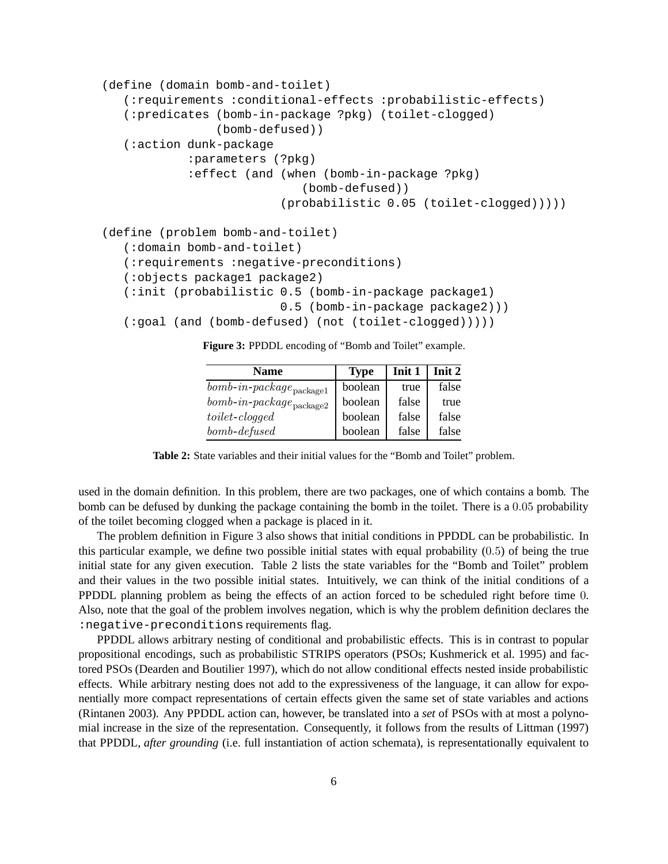```
(define (domain bomb-and-toilet)
   (:requirements :conditional-effects :probabilistic-effects)
   (:predicates (bomb-in-package ?pkg) (toilet-clogged)
                (bomb-defused))
   (:action dunk-package
            :parameters (?pkg)
            :effect (and (when (bomb-in-package ?pkg)
                            (bomb-defused))
                         (probabilistic 0.05 (toilet-clogged)))))
(define (problem bomb-and-toilet)
   (:domain bomb-and-toilet)
   (:requirements :negative-preconditions)
   (:objects package1 package2)
   (:init (probabilistic 0.5 (bomb-in-package package1)
                         0.5 (bomb-in-package package2)))
   (:goal (and (bomb-defused) (not (toilet-clogged)))))
```
**Figure 3:** PPDDL encoding of "Bomb and Toilet" example.

| <b>Name</b>                                   | <b>Type</b> | Init 1 | Init 2 |
|-----------------------------------------------|-------------|--------|--------|
| $\textit{bomb-in-package}_{\textit{package}}$ | boolean     | true   | false  |
| $\textit{bomb-in-package}_{\textit{package}}$ | boolean     | false  | true   |
| $to$ ilet-cloqqed                             | boolean     | false  | false  |
| $bomb$ -defused                               | boolean     | false  | false  |

**Table 2:** State variables and their initial values for the "Bomb and Toilet" problem.

used in the domain definition. In this problem, there are two packages, one of which contains a bomb. The bomb can be defused by dunking the package containing the bomb in the toilet. There is a 0.05 probability of the toilet becoming clogged when a package is placed in it.

The problem definition in Figure 3 also shows that initial conditions in PPDDL can be probabilistic. In this particular example, we define two possible initial states with equal probability (0.5) of being the true initial state for any given execution. Table 2 lists the state variables for the "Bomb and Toilet" problem and their values in the two possible initial states. Intuitively, we can think of the initial conditions of a PPDDL planning problem as being the effects of an action forced to be scheduled right before time 0. Also, note that the goal of the problem involves negation, which is why the problem definition declares the :negative-preconditions requirements flag.

PPDDL allows arbitrary nesting of conditional and probabilistic effects. This is in contrast to popular propositional encodings, such as probabilistic STRIPS operators (PSOs; Kushmerick et al. 1995) and factored PSOs (Dearden and Boutilier 1997), which do not allow conditional effects nested inside probabilistic effects. While arbitrary nesting does not add to the expressiveness of the language, it can allow for exponentially more compact representations of certain effects given the same set of state variables and actions (Rintanen 2003). Any PPDDL action can, however, be translated into a *set* of PSOs with at most a polynomial increase in the size of the representation. Consequently, it follows from the results of Littman (1997) that PPDDL, *after grounding* (i.e. full instantiation of action schemata), is representationally equivalent to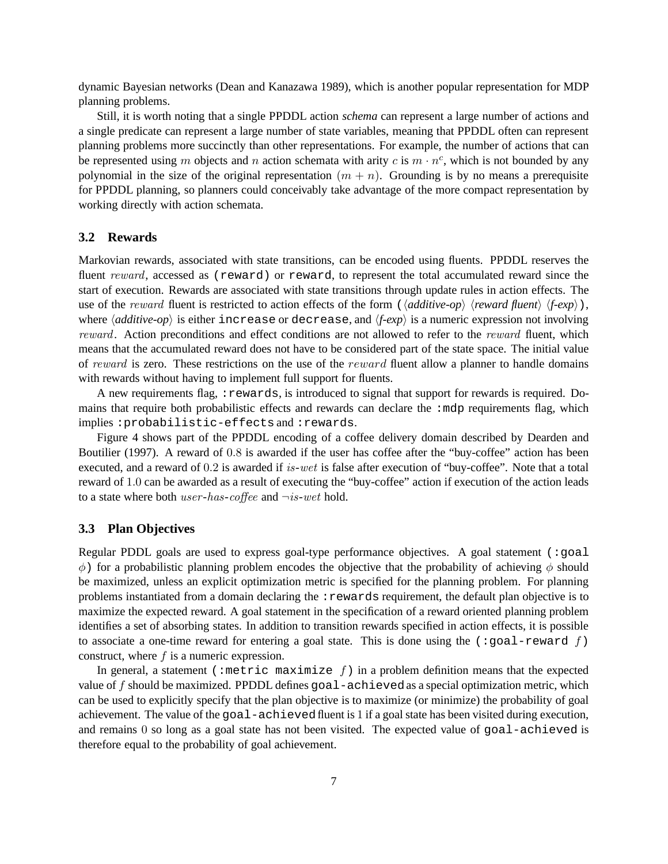dynamic Bayesian networks (Dean and Kanazawa 1989), which is another popular representation for MDP planning problems.

Still, it is worth noting that a single PPDDL action *schema* can represent a large number of actions and a single predicate can represent a large number of state variables, meaning that PPDDL often can represent planning problems more succinctly than other representations. For example, the number of actions that can be represented using m objects and n action schemata with arity c is  $m \cdot n^c$ , which is not bounded by any polynomial in the size of the original representation  $(m + n)$ . Grounding is by no means a prerequisite for PPDDL planning, so planners could conceivably take advantage of the more compact representation by working directly with action schemata.

#### **3.2 Rewards**

Markovian rewards, associated with state transitions, can be encoded using fluents. PPDDL reserves the fluent *reward*, accessed as (reward) or reward, to represent the total accumulated reward since the start of execution. Rewards are associated with state transitions through update rules in action effects. The use of the *reward* fluent is restricted to action effects of the form ( $\langle additionive-op \rangle$   $\langle reward\ function \rangle$   $\langle f-exp \rangle$ ), where  $\langle additive-op\rangle$  is either increase or decrease, and  $\langle f-exp\rangle$  is a numeric expression not involving *reward*. Action preconditions and effect conditions are not allowed to refer to the *reward* fluent, which means that the accumulated reward does not have to be considered part of the state space. The initial value of *reward* is zero. These restrictions on the use of the reward fluent allow a planner to handle domains with rewards without having to implement full support for fluents.

A new requirements flag, : rewards, is introduced to signal that support for rewards is required. Domains that require both probabilistic effects and rewards can declare the :mdp requirements flag, which implies :probabilistic-effects and :rewards.

Figure 4 shows part of the PPDDL encoding of a coffee delivery domain described by Dearden and Boutilier (1997). A reward of 0.8 is awarded if the user has coffee after the "buy-coffee" action has been executed, and a reward of 0.2 is awarded if *is*-*wet* is false after execution of "buy-coffee". Note that a total reward of 1.0 can be awarded as a result of executing the "buy-coffee" action if execution of the action leads to a state where both *user*-*has*-*coffee* and ¬*is*-*wet* hold.

#### **3.3 Plan Objectives**

Regular PDDL goals are used to express goal-type performance objectives. A goal statement (:goal  $φ$ ) for a probabilistic planning problem encodes the objective that the probability of achieving  $φ$  should be maximized, unless an explicit optimization metric is specified for the planning problem. For planning problems instantiated from a domain declaring the :rewards requirement, the default plan objective is to maximize the expected reward. A goal statement in the specification of a reward oriented planning problem identifies a set of absorbing states. In addition to transition rewards specified in action effects, it is possible to associate a one-time reward for entering a goal state. This is done using the  $(\text{:=goal-reward } f)$ construct, where f is a numeric expression.

In general, a statement (:metric maximize f) in a problem definition means that the expected value of f should be maximized. PPDDL defines goal-achievedas a special optimization metric, which can be used to explicitly specify that the plan objective is to maximize (or minimize) the probability of goal achievement. The value of the goal-achievedfluent is 1 if a goal state has been visited during execution, and remains 0 so long as a goal state has not been visited. The expected value of goal-achieved is therefore equal to the probability of goal achievement.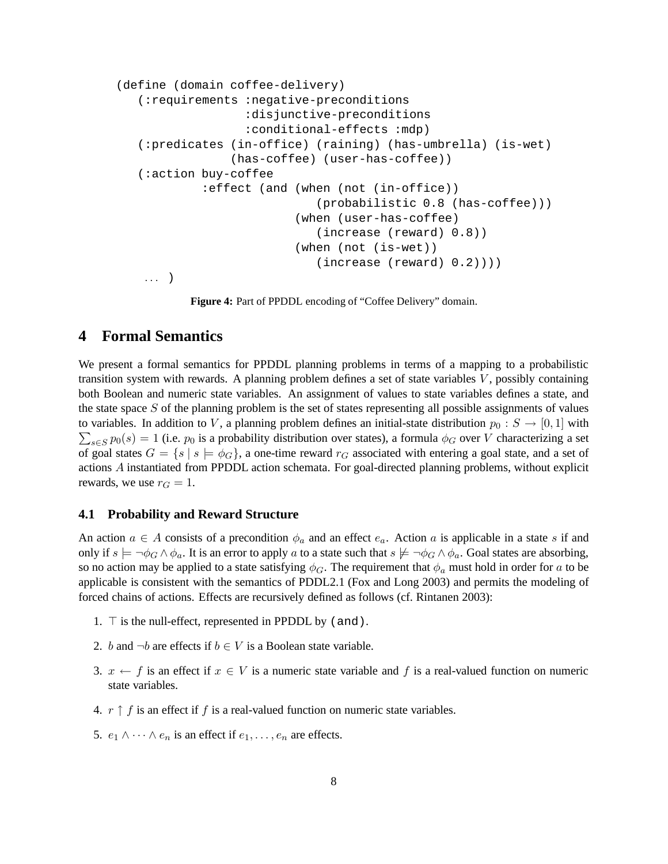```
(define (domain coffee-delivery)
   (:requirements :negative-preconditions
                  :disjunctive-preconditions
                  :conditional-effects :mdp)
  (:predicates (in-office) (raining) (has-umbrella) (is-wet)
                (has-coffee) (user-has-coffee))
  (:action buy-coffee
            :effect (and (when (not (in-office))
                             (probabilistic 0.8 (has-coffee)))
                          (when (user-has-coffee)
                             (increase (reward) 0.8))
                          (when (not (is-wet))
                             (increase (reward) 0.2))))
    ... )
```
**Figure 4:** Part of PPDDL encoding of "Coffee Delivery" domain.

### **4 Formal Semantics**

We present a formal semantics for PPDDL planning problems in terms of a mapping to a probabilistic transition system with rewards. A planning problem defines a set of state variables  $V$ , possibly containing both Boolean and numeric state variables. An assignment of values to state variables defines a state, and the state space S of the planning problem is the set of states representing all possible assignments of values to variables. In addition to V, a planning problem defines an initial-state distribution  $p_0: S \to [0, 1]$  with  $\sum_{s \in S} p_0(s) = 1$  (i.e.  $p_0$  is a probability distribution over states), a formula  $\phi_G$  over V characterizing a set of goal states  $G = \{s \mid s \models \phi_G\}$ , a one-time reward  $r_G$  associated with entering a goal state, and a set of actions A instantiated from PPDDL action schemata. For goal-directed planning problems, without explicit rewards, we use  $r_G = 1$ .

#### **4.1 Probability and Reward Structure**

An action  $a \in A$  consists of a precondition  $\phi_a$  and an effect  $e_a$ . Action a is applicable in a state s if and only if  $s \models \neg \phi_G \land \phi_a$ . It is an error to apply a to a state such that  $s \not\models \neg \phi_G \land \phi_a$ . Goal states are absorbing, so no action may be applied to a state satisfying  $\phi_G$ . The requirement that  $\phi_a$  must hold in order for a to be applicable is consistent with the semantics of PDDL2.1 (Fox and Long 2003) and permits the modeling of forced chains of actions. Effects are recursively defined as follows (cf. Rintanen 2003):

- 1.  $\top$  is the null-effect, represented in PPDDL by (and).
- 2. b and  $\neg b$  are effects if  $b \in V$  is a Boolean state variable.
- 3.  $x \leftarrow f$  is an effect if  $x \in V$  is a numeric state variable and f is a real-valued function on numeric state variables.
- 4.  $r \uparrow f$  is an effect if f is a real-valued function on numeric state variables.
- 5.  $e_1 \wedge \cdots \wedge e_n$  is an effect if  $e_1, \ldots, e_n$  are effects.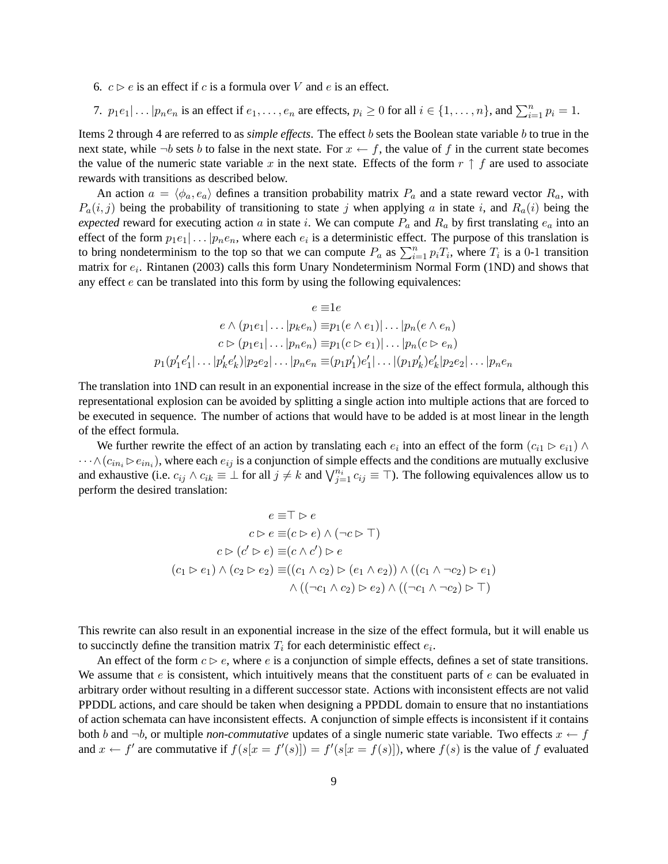- 6.  $c \triangleright e$  is an effect if c is a formula over V and e is an effect.
- 7.  $p_1e_1|\ldots|p_ne_n$  is an effect if  $e_1,\ldots,e_n$  are effects,  $p_i \ge 0$  for all  $i \in \{1,\ldots,n\}$ , and  $\sum_{i=1}^n p_i = 1$ .

Items 2 through 4 are referred to as *simple effects*. The effect b sets the Boolean state variable b to true in the next state, while  $\neg b$  sets b to false in the next state. For  $x \leftarrow f$ , the value of f in the current state becomes the value of the numeric state variable x in the next state. Effects of the form  $r \uparrow f$  are used to associate rewards with transitions as described below.

An action  $a = \langle \phi_a, e_a \rangle$  defines a transition probability matrix  $P_a$  and a state reward vector  $R_a$ , with  $P_a(i, j)$  being the probability of transitioning to state j when applying a in state i, and  $R_a(i)$  being the *expected* reward for executing action a in state i. We can compute  $P_a$  and  $R_a$  by first translating  $e_a$  into an effect of the form  $p_1e_1|\dots|p_ne_n$ , where each  $e_i$  is a deterministic effect. The purpose of this translation is to bring nondeterminism to the top so that we can compute  $P_a$  as  $\sum_{i=1}^n p_i T_i$ , where  $T_i$  is a 0-1 transition matrix for  $e_i$ . Rintanen (2003) calls this form Unary Nondeterminism Normal Form (1ND) and shows that any effect  $e$  can be translated into this form by using the following equivalences:

$$
e \equiv 1e
$$
  
\n
$$
e \wedge (p_1e_1|\dots|p_ke_n) \equiv p_1(e \wedge e_1)|\dots|p_n(e \wedge e_n)
$$
  
\n
$$
c \vartriangleright (p_1e_1|\dots|p_ne_n) \equiv p_1(c \vartriangleright e_1)|\dots|p_n(c \vartriangleright e_n)
$$
  
\n
$$
p_1(p'_1e'_1|\dots|p'_ke'_k)|p_2e_2|\dots|p_ne_n \equiv (p_1p'_1)e'_1|\dots|(p_1p'_k)e'_k|p_2e_2|\dots|p_ne_n
$$

The translation into 1ND can result in an exponential increase in the size of the effect formula, although this representational explosion can be avoided by splitting a single action into multiple actions that are forced to be executed in sequence. The number of actions that would have to be added is at most linear in the length of the effect formula.

We further rewrite the effect of an action by translating each  $e_i$  into an effect of the form  $(c_{i1} \triangleright e_{i1}) \wedge$  $\cdots \wedge (c_{in_i} \rhd e_{in_i})$ , where each  $e_{ij}$  is a conjunction of simple effects and the conditions are mutually exclusive and exhaustive (i.e.  $c_{ij} \wedge c_{ik} \equiv \perp$  for all  $j \neq k$  and  $\bigvee_{j=1}^{n_i} c_{ij} \equiv \top$ ). The following equivalences allow us to perform the desired translation:

$$
e \equiv \top \triangleright e
$$
  
\n
$$
c \triangleright e \equiv (c \triangleright e) \land (\neg c \triangleright \top)
$$
  
\n
$$
c \triangleright (c' \triangleright e) \equiv (c \land c') \triangleright e
$$
  
\n
$$
(c_1 \triangleright e_1) \land (c_2 \triangleright e_2) \equiv ((c_1 \land c_2) \triangleright (e_1 \land e_2)) \land ((c_1 \land \neg c_2) \triangleright e_1)
$$
  
\n
$$
\land ((\neg c_1 \land c_2) \triangleright e_2) \land ((\neg c_1 \land \neg c_2) \triangleright \top)
$$

This rewrite can also result in an exponential increase in the size of the effect formula, but it will enable us to succinctly define the transition matrix  $T_i$  for each deterministic effect  $e_i$ .

An effect of the form  $c \triangleright e$ , where e is a conjunction of simple effects, defines a set of state transitions. We assume that  $e$  is consistent, which intuitively means that the constituent parts of  $e$  can be evaluated in arbitrary order without resulting in a different successor state. Actions with inconsistent effects are not valid PPDDL actions, and care should be taken when designing a PPDDL domain to ensure that no instantiations of action schemata can have inconsistent effects. A conjunction of simple effects is inconsistent if it contains both b and  $\neg b$ , or multiple *non-commutative* updates of a single numeric state variable. Two effects  $x \leftarrow f$ and  $x \leftarrow f'$  are commutative if  $f(s[x = f'(s)]) = f'(s[x = f(s)])$ , where  $f(s)$  is the value of f evaluated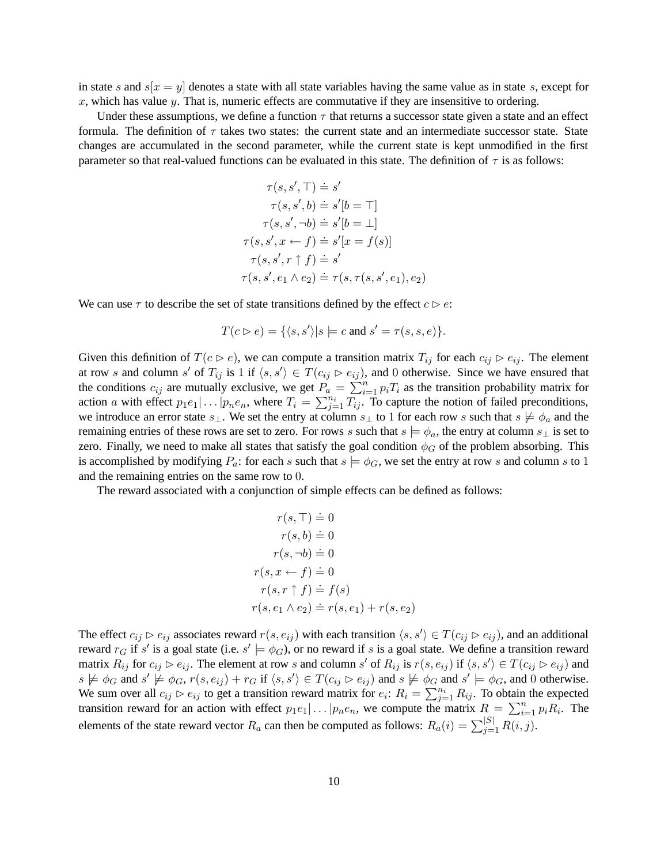in state s and  $s[x = y]$  denotes a state with all state variables having the same value as in state s, except for  $x$ , which has value  $y$ . That is, numeric effects are commutative if they are insensitive to ordering.

Under these assumptions, we define a function  $\tau$  that returns a successor state given a state and an effect formula. The definition of  $\tau$  takes two states: the current state and an intermediate successor state. State changes are accumulated in the second parameter, while the current state is kept unmodified in the first parameter so that real-valued functions can be evaluated in this state. The definition of  $\tau$  is as follows:

$$
\tau(s, s', \top) \doteq s'
$$

$$
\tau(s, s', b) \doteq s'[b = \top]
$$

$$
\tau(s, s', \neg b) \doteq s'[b = \bot]
$$

$$
\tau(s, s', x \leftarrow f) \doteq s'[x = f(s)]
$$

$$
\tau(s, s', r \uparrow f) \doteq s'
$$

$$
\tau(s, s', e_1 \wedge e_2) \doteq \tau(s, \tau(s, s', e_1), e_2)
$$

We can use  $\tau$  to describe the set of state transitions defined by the effect  $c \triangleright e$ :

$$
T(c \triangleright e) = \{ \langle s, s' \rangle | s \models c \text{ and } s' = \tau(s, s, e) \}.
$$

Given this definition of  $T(c \triangleright e)$ , we can compute a transition matrix  $T_{ij}$  for each  $c_{ij} \triangleright e_{ij}$ . The element at row s and column s' of  $T_{ij}$  is 1 if  $\langle s, s' \rangle \in T(c_{ij} \rhd e_{ij})$ , and 0 otherwise. Since we have ensured that the conditions  $c_{ij}$  are mutually exclusive, we get  $P_a = \sum_{i=1}^n p_i T_i$  as the transition probability matrix for action a with effect  $p_1e_1|\ldots|p_ne_n$ , where  $T_i = \sum_{j=1}^{n_i} T_{ij}$ . To capture the notion of failed preconditions, we introduce an error state  $s_\perp$ . We set the entry at column  $s_\perp$  to 1 for each row s such that  $s \not\models \phi_a$  and the remaining entries of these rows are set to zero. For rows s such that  $s \models \phi_a$ , the entry at column  $s_\perp$  is set to zero. Finally, we need to make all states that satisfy the goal condition  $\phi_G$  of the problem absorbing. This is accomplished by modifying  $P_a$ : for each s such that  $s \models \phi_G$ , we set the entry at row s and column s to 1 and the remaining entries on the same row to 0.

The reward associated with a conjunction of simple effects can be defined as follows:

$$
r(s, \top) \doteq 0
$$
  
\n
$$
r(s, b) \doteq 0
$$
  
\n
$$
r(s, \neg b) \doteq 0
$$
  
\n
$$
r(s, x \leftarrow f) \doteq 0
$$
  
\n
$$
r(s, r \uparrow f) \doteq f(s)
$$
  
\n
$$
r(s, e_1 \wedge e_2) \doteq r(s, e_1) + r(s, e_2)
$$

The effect  $c_{ij} \rhd e_{ij}$  associates reward  $r(s, e_{ij})$  with each transition  $\langle s, s' \rangle \in T(c_{ij} \rhd e_{ij})$ , and an additional reward  $r_G$  if s' is a goal state (i.e.  $s' \models \phi_G$ ), or no reward if s is a goal state. We define a transition reward matrix  $R_{ij}$  for  $c_{ij} \rhd e_{ij}$ . The element at row s and column s' of  $R_{ij}$  is  $r(s, e_{ij})$  if  $\langle s, s' \rangle \in T(c_{ij} \rhd e_{ij})$  and  $s \not\models \phi_G$  and  $s' \not\models \phi_G$ ,  $r(s, e_{ij}) + r_G$  if  $\langle s, s' \rangle \in T(c_{ij} \rhd e_{ij})$  and  $s \not\models \phi_G$  and  $s' \models \phi_G$ , and 0 otherwise. We sum over all  $c_{ij} \rhd e_{ij}$  to get a transition reward matrix for  $e_i$ :  $R_i = \sum_{j=1}^{n_i} R_{ij}$ . To obtain the expected transition reward for an action with effect  $p_1e_1|\ldots|p_ne_n$ , we compute the matrix  $R = \sum_{i=1}^n p_iR_i$ . The elements of the state reward vector  $R_a$  can then be computed as follows:  $R_a(i) = \sum_{j=1}^{|S|} R(i, j)$ .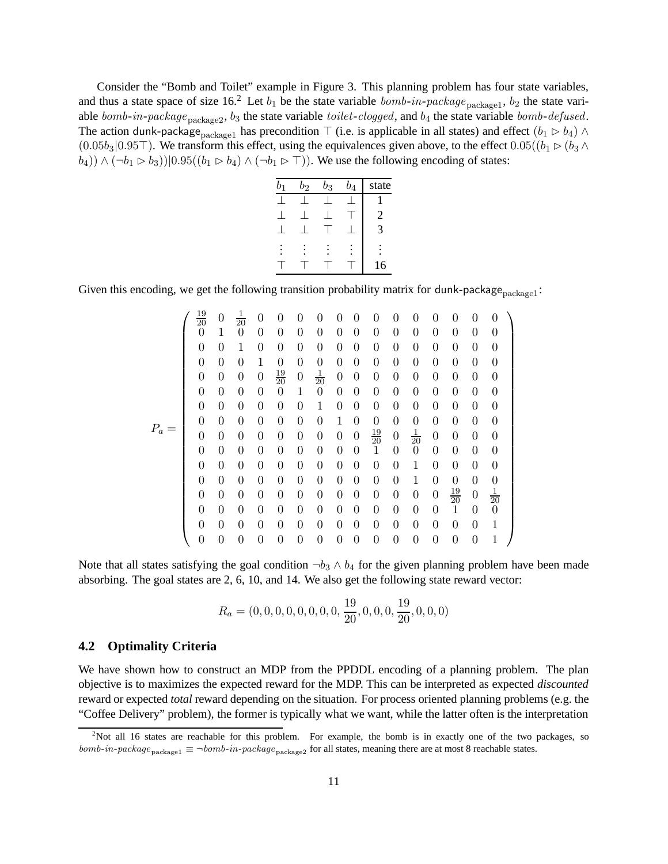Consider the "Bomb and Toilet" example in Figure 3. This planning problem has four state variables, and thus a state space of size 16.<sup>2</sup> Let  $b_1$  be the state variable  $bomb-in-package_{\text{package1}}, b_2$  the state variable *bomb*-in-package<sub>package2</sub>, b<sub>3</sub> the state variable *toilet*-*clogged*, and b<sub>4</sub> the state variable *bomb*-*defused*. The action dunk-package<sub>package1</sub> has precondition  $\top$  (i.e. is applicable in all states) and effect  $(b_1 \rhd b_4) \wedge$  $(0.05b_3|0.95\top)$ . We transform this effect, using the equivalences given above, to the effect  $0.05((b_1 \triangleright (b_3 \wedge b_4))$  $(b_4)$ ) ∧ (¬ $b_1 \triangleright b_3$ ))|0.95(( $b_1 \triangleright b_4$ ) ∧ (¬ $b_1 \triangleright$  ⊤)). We use the following encoding of states:

| $b_{1}$ | $b_2$ | $b_3$ | $b_4$ | state |
|---------|-------|-------|-------|-------|
|         |       |       |       |       |
|         |       |       |       | 2     |
|         |       |       |       | 3     |
|         |       |       |       |       |
|         |       |       |       | 16    |

Given this encoding, we get the following transition probability matrix for dunk-package $_{\text{package1}}$ :

P<sup>a</sup> = 19 <sup>20</sup> <sup>0</sup> <sup>1</sup> <sup>20</sup> 0 0 0 0 00 0 0 0 0 0 0 0 0 1 0 0 0 0 0 00 0 0 0 0 0 0 0 0 0 1 0 0 0 0 00 0 0 0 0 0 0 0 0 0 0 1 0 0 0 00 0 0 0 0 0 0 0 0000 <sup>19</sup> <sup>20</sup> <sup>0</sup> <sup>1</sup> <sup>20</sup> 00 0 0 0 0 0 0 0 0 0 0 0 0 1 0 00 0 0 0 0 0 0 0 0 0 0 0 0 0 1 00 0 0 0 0 0 0 0 0 0 0 0 0 0 0 10 0 0 0 0 0 0 0 0 0 0 0 0 0 0 00 <sup>19</sup> <sup>20</sup> <sup>0</sup> <sup>1</sup> <sup>20</sup> 0000 0 0 0 0 0 0 0 00 1 0 0 0 0 0 0 0 0 0 0 0 0 0 00 0 0 1 0 0 0 0 0 0 0 0 0 0 0 00 0 0 1 0 0 0 0 0 0 0 0 0 0 0 00 0 0 0 0 <sup>19</sup> <sup>20</sup> <sup>0</sup> <sup>1</sup> 20 0 0 0 0 0 0 0 00 0 0 0 0 1 0 0 0 0 0 0 0 0 0 00 0 0 0 0 0 0 1 0 0 0 0 0 0 0 00 0 0 0 0 0 0 1 

Note that all states satisfying the goal condition  $\neg b_3 \wedge b_4$  for the given planning problem have been made absorbing. The goal states are 2, 6, 10, and 14. We also get the following state reward vector:

$$
R_a = (0, 0, 0, 0, 0, 0, 0, 0, \frac{19}{20}, 0, 0, 0, \frac{19}{20}, 0, 0, 0)
$$

#### **4.2 Optimality Criteria**

We have shown how to construct an MDP from the PPDDL encoding of a planning problem. The plan objective is to maximizes the expected reward for the MDP. This can be interpreted as expected *discounted* reward or expected *total* reward depending on the situation. For process oriented planning problems (e.g. the "Coffee Delivery" problem), the former is typically what we want, while the latter often is the interpretation

<sup>&</sup>lt;sup>2</sup>Not all 16 states are reachable for this problem. For example, the bomb is in exactly one of the two packages, so bomb-in-package<sub>package1</sub>  $\equiv \neg bomb\text{-}in\text{-}package_{package2}$  for all states, meaning there are at most 8 reachable states.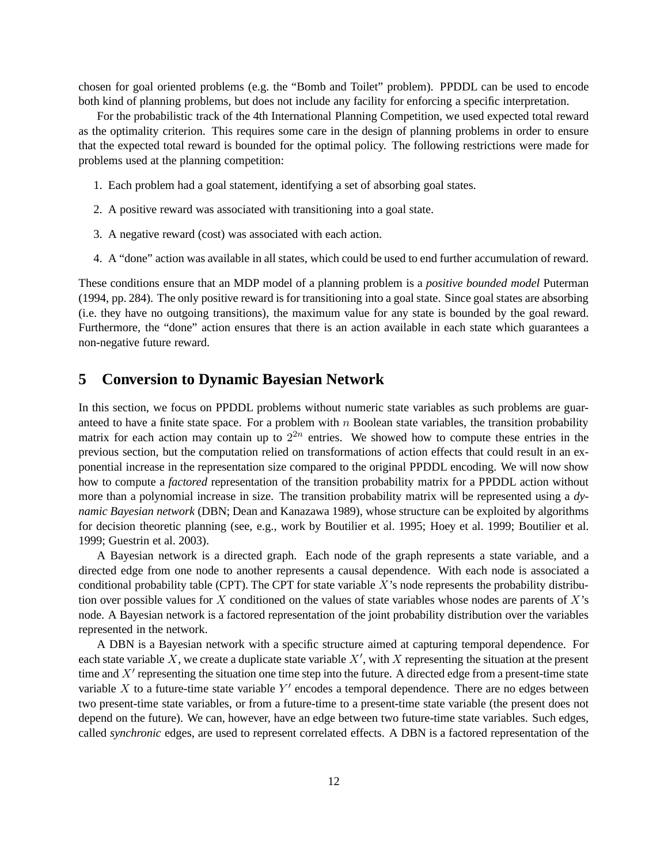chosen for goal oriented problems (e.g. the "Bomb and Toilet" problem). PPDDL can be used to encode both kind of planning problems, but does not include any facility for enforcing a specific interpretation.

For the probabilistic track of the 4th International Planning Competition, we used expected total reward as the optimality criterion. This requires some care in the design of planning problems in order to ensure that the expected total reward is bounded for the optimal policy. The following restrictions were made for problems used at the planning competition:

- 1. Each problem had a goal statement, identifying a set of absorbing goal states.
- 2. A positive reward was associated with transitioning into a goal state.
- 3. A negative reward (cost) was associated with each action.
- 4. A "done" action was available in all states, which could be used to end further accumulation of reward.

These conditions ensure that an MDP model of a planning problem is a *positive bounded model* Puterman (1994, pp. 284). The only positive reward is for transitioning into a goal state. Since goal states are absorbing (i.e. they have no outgoing transitions), the maximum value for any state is bounded by the goal reward. Furthermore, the "done" action ensures that there is an action available in each state which guarantees a non-negative future reward.

# **5 Conversion to Dynamic Bayesian Network**

In this section, we focus on PPDDL problems without numeric state variables as such problems are guaranteed to have a finite state space. For a problem with  $n$  Boolean state variables, the transition probability matrix for each action may contain up to  $2^{2n}$  entries. We showed how to compute these entries in the previous section, but the computation relied on transformations of action effects that could result in an exponential increase in the representation size compared to the original PPDDL encoding. We will now show how to compute a *factored* representation of the transition probability matrix for a PPDDL action without more than a polynomial increase in size. The transition probability matrix will be represented using a *dynamic Bayesian network* (DBN; Dean and Kanazawa 1989), whose structure can be exploited by algorithms for decision theoretic planning (see, e.g., work by Boutilier et al. 1995; Hoey et al. 1999; Boutilier et al. 1999; Guestrin et al. 2003).

A Bayesian network is a directed graph. Each node of the graph represents a state variable, and a directed edge from one node to another represents a causal dependence. With each node is associated a conditional probability table (CPT). The CPT for state variable X's node represents the probability distribution over possible values for  $X$  conditioned on the values of state variables whose nodes are parents of  $X$ 's node. A Bayesian network is a factored representation of the joint probability distribution over the variables represented in the network.

A DBN is a Bayesian network with a specific structure aimed at capturing temporal dependence. For each state variable X, we create a duplicate state variable  $X'$ , with X representing the situation at the present time and  $X'$  representing the situation one time step into the future. A directed edge from a present-time state variable X to a future-time state variable  $Y'$  encodes a temporal dependence. There are no edges between two present-time state variables, or from a future-time to a present-time state variable (the present does not depend on the future). We can, however, have an edge between two future-time state variables. Such edges, called *synchronic* edges, are used to represent correlated effects. A DBN is a factored representation of the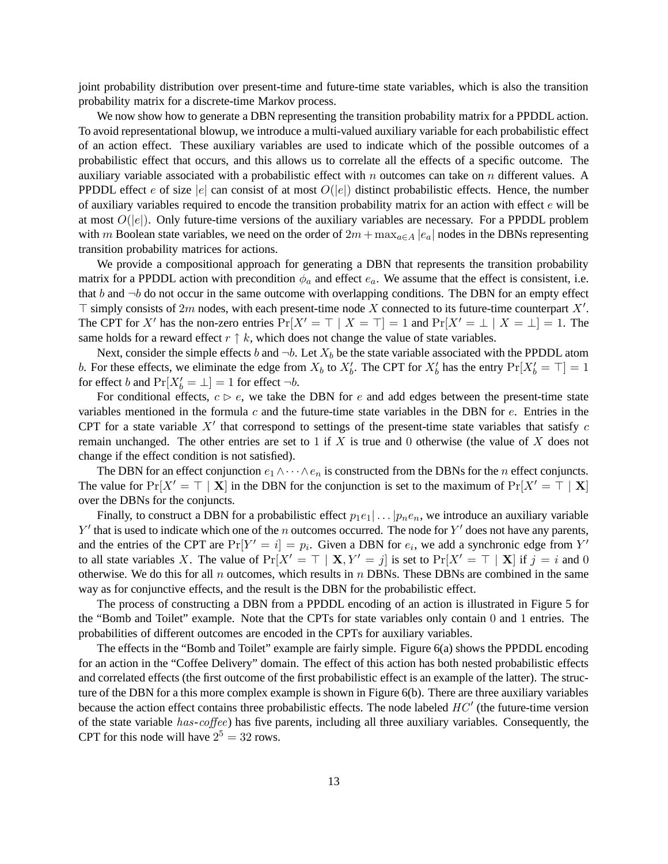joint probability distribution over present-time and future-time state variables, which is also the transition probability matrix for a discrete-time Markov process.

We now show how to generate a DBN representing the transition probability matrix for a PPDDL action. To avoid representational blowup, we introduce a multi-valued auxiliary variable for each probabilistic effect of an action effect. These auxiliary variables are used to indicate which of the possible outcomes of a probabilistic effect that occurs, and this allows us to correlate all the effects of a specific outcome. The auxiliary variable associated with a probabilistic effect with n outcomes can take on n different values. A PPDDL effect e of size  $|e|$  can consist of at most  $O(|e|)$  distinct probabilistic effects. Hence, the number of auxiliary variables required to encode the transition probability matrix for an action with effect e will be at most  $O(|e|)$ . Only future-time versions of the auxiliary variables are necessary. For a PPDDL problem with m Boolean state variables, we need on the order of  $2m + \max_{a \in A} |e_a|$  nodes in the DBNs representing transition probability matrices for actions.

We provide a compositional approach for generating a DBN that represents the transition probability matrix for a PPDDL action with precondition  $\phi_a$  and effect  $e_a$ . We assume that the effect is consistent, i.e. that b and  $\neg b$  do not occur in the same outcome with overlapping conditions. The DBN for an empty effect  $\top$  simply consists of 2m nodes, with each present-time node X connected to its future-time counterpart X'. The CPT for X' has the non-zero entries  $Pr[X' = \top | X = \top] = 1$  and  $Pr[X' = \bot | X = \bot] = 1$ . The same holds for a reward effect  $r \uparrow k$ , which does not change the value of state variables.

Next, consider the simple effects b and  $\neg b$ . Let  $X_b$  be the state variable associated with the PPDDL atom b. For these effects, we eliminate the edge from  $X_b$  to  $X'_b$ . The CPT for  $X'_b$  has the entry  $Pr[X'_b = \top] = 1$ for effect b and  $Pr[X'_b = \bot] = 1$  for effect  $\neg b$ .

For conditional effects,  $c \triangleright e$ , we take the DBN for e and add edges between the present-time state variables mentioned in the formula  $c$  and the future-time state variables in the DBN for  $e$ . Entries in the CPT for a state variable  $X<sup>'</sup>$  that correspond to settings of the present-time state variables that satisfy c remain unchanged. The other entries are set to 1 if X is true and 0 otherwise (the value of X does not change if the effect condition is not satisfied).

The DBN for an effect conjunction  $e_1 \wedge \cdots \wedge e_n$  is constructed from the DBNs for the *n* effect conjuncts. The value for  $Pr[X' = \top | X]$  in the DBN for the conjunction is set to the maximum of  $Pr[X' = \top | X]$ over the DBNs for the conjuncts.

Finally, to construct a DBN for a probabilistic effect  $p_1e_1 | \dots | p_ne_n$ , we introduce an auxiliary variable  $Y'$  that is used to indicate which one of the n outcomes occurred. The node for  $Y'$  does not have any parents, and the entries of the CPT are  $Pr[Y' = i] = p_i$ . Given a DBN for  $e_i$ , we add a synchronic edge from Y' to all state variables X. The value of  $Pr[X' = \top | X, Y' = j]$  is set to  $Pr[X' = \top | X]$  if  $j = i$  and 0 otherwise. We do this for all  $n$  outcomes, which results in  $n$  DBNs. These DBNs are combined in the same way as for conjunctive effects, and the result is the DBN for the probabilistic effect.

The process of constructing a DBN from a PPDDL encoding of an action is illustrated in Figure 5 for the "Bomb and Toilet" example. Note that the CPTs for state variables only contain 0 and 1 entries. The probabilities of different outcomes are encoded in the CPTs for auxiliary variables.

The effects in the "Bomb and Toilet" example are fairly simple. Figure 6(a) shows the PPDDL encoding for an action in the "Coffee Delivery" domain. The effect of this action has both nested probabilistic effects and correlated effects (the first outcome of the first probabilistic effect is an example of the latter). The structure of the DBN for a this more complex example is shown in Figure 6(b). There are three auxiliary variables because the action effect contains three probabilistic effects. The node labeled *HC*0 (the future-time version of the state variable *has*-*coffee*) has five parents, including all three auxiliary variables. Consequently, the CPT for this node will have  $2^5 = 32$  rows.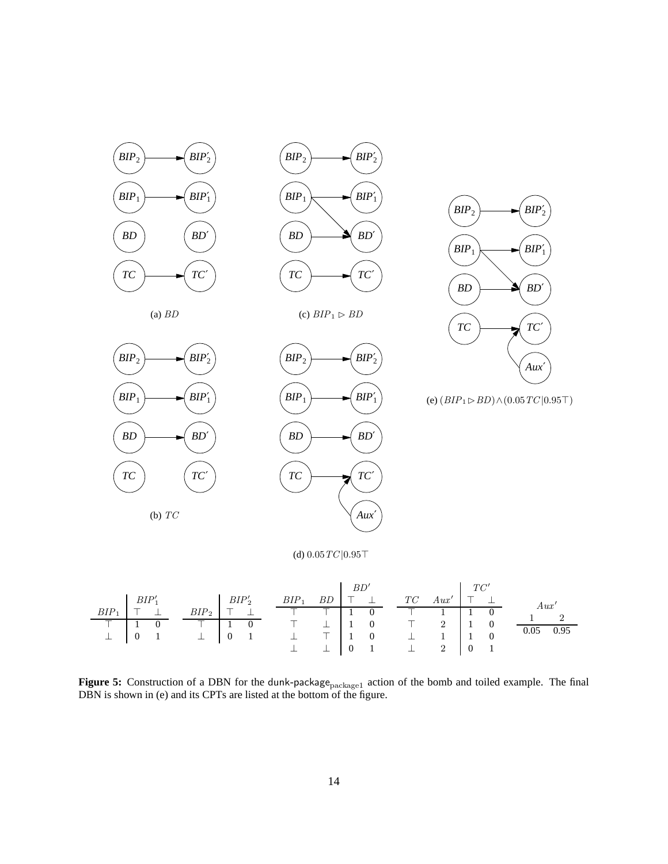

**Figure 5:** Construction of a DBN for the dunk-package<sub>package1</sub> action of the bomb and toiled example. The final DBN is shown in (e) and its CPTs are listed at the bottom of the figure.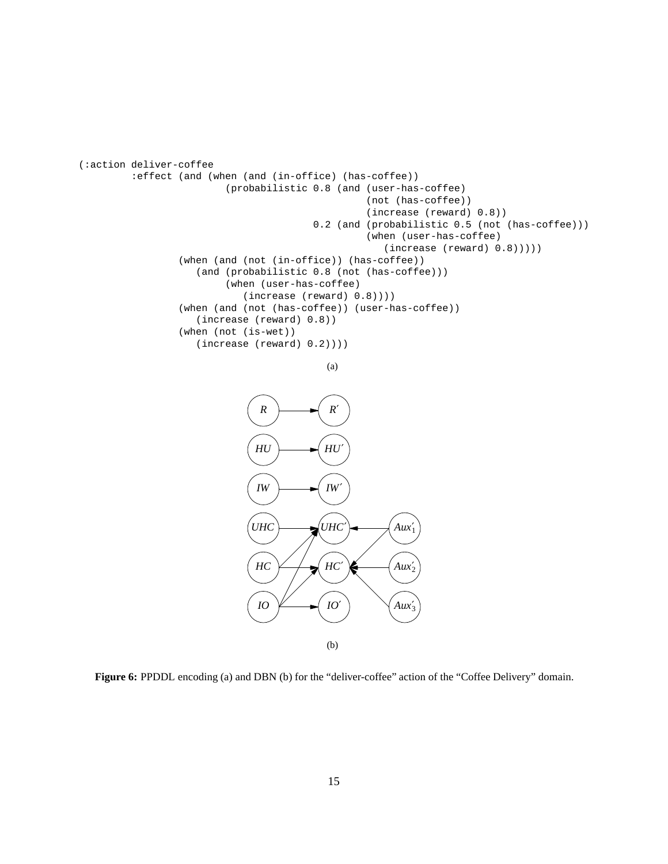```
(:action deliver-coffee
         :effect (and (when (and (in-office) (has-coffee))
                         (probabilistic 0.8 (and (user-has-coffee)
                                                  (not (has-coffee))
                                                  (increase (reward) 0.8))
                                        0.2 (and (probabilistic 0.5 (not (has-coffee)))
                                                  (when (user-has-coffee)
                                                     (increase (reward) 0.8)))))
                 (when (and (not (in-office)) (has-coffee))
                    (and (probabilistic 0.8 (not (has-coffee)))
                         (when (user-has-coffee)
                            (increase (reward) 0.8))))
                 (when (and (not (has-coffee)) (user-has-coffee))
                    (increase (reward) 0.8))
                 (when (not (is-wet))
                    (increase (reward) 0.2))))
```

```
(a)
```


**Figure 6:** PPDDL encoding (a) and DBN (b) for the "deliver-coffee" action of the "Coffee Delivery" domain.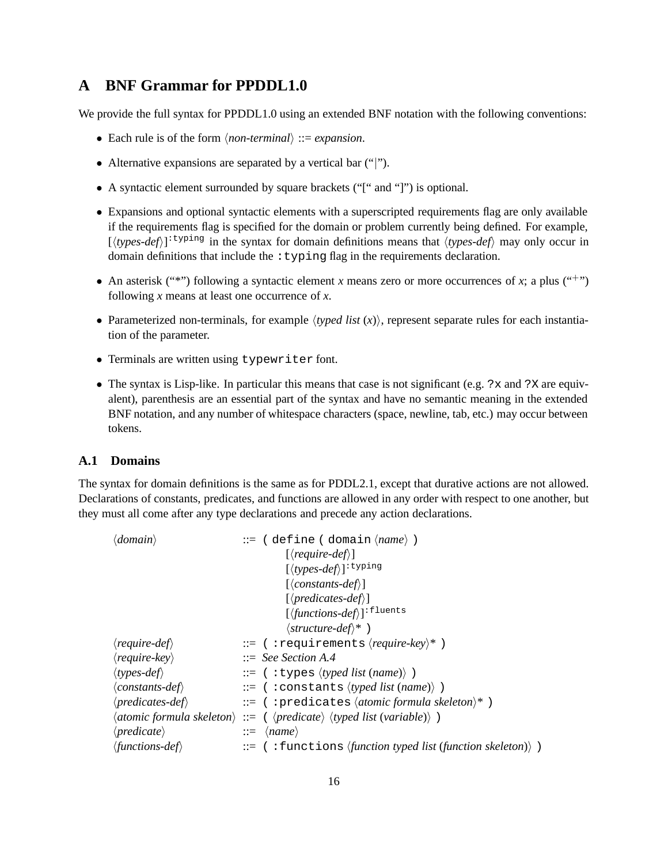# **A BNF Grammar for PPDDL1.0**

We provide the full syntax for PPDDL1.0 using an extended BNF notation with the following conventions:

- Each rule is of the form  $\langle non-terminal \rangle ::= expansion$ .
- Alternative expansions are separated by a vertical bar ("|").
- A syntactic element surrounded by square brackets ("[" and "]") is optional.
- Expansions and optional syntactic elements with a superscripted requirements flag are only available if the requirements flag is specified for the domain or problem currently being defined. For example,  $[\langle types-def \rangle]$ <sup>: typing</sup> in the syntax for domain definitions means that  $\langle types-def \rangle$  may only occur in domain definitions that include the  $:typing flag$  in the requirements declaration.
- An asterisk ("\*") following a syntactic element *x* means zero or more occurrences of *x*; a plus ("+") following *x* means at least one occurrence of *x*.
- Parameterized non-terminals, for example  $\langle typed \; list \; (x) \rangle$ , represent separate rules for each instantiation of the parameter.
- Terminals are written using typewriter font.
- The syntax is Lisp-like. In particular this means that case is not significant (e.g. ?x and ?X are equivalent), parenthesis are an essential part of the syntax and have no semantic meaning in the extended BNF notation, and any number of whitespace characters (space, newline, tab, etc.) may occur between tokens.

#### **A.1 Domains**

The syntax for domain definitions is the same as for PDDL2.1, except that durative actions are not allowed. Declarations of constants, predicates, and functions are allowed in any order with respect to one another, but they must all come after any type declarations and precede any action declarations.

| $\langle domain \rangle$               | $ ::=$ (define (domain $\langle name \rangle$ )                                                                        |  |
|----------------------------------------|------------------------------------------------------------------------------------------------------------------------|--|
|                                        | $\left[\langle require\text{-}def\rangle\right]$                                                                       |  |
|                                        | $[\langle types\text{-}def \rangle]$ <sup>: typing</sup>                                                               |  |
|                                        | $\lceil \langle constants\text{-}def \rangle \rceil$                                                                   |  |
|                                        | $[\langle predicates-def \rangle]$                                                                                     |  |
|                                        | $[\langle functions-def \rangle]$ <sup>: fluents</sup>                                                                 |  |
|                                        | $\langle structure-def \rangle^*$ )                                                                                    |  |
| $\langle \textit{require-def} \rangle$ | $ ::=$ (:requirements (require-key)*)                                                                                  |  |
| $\langle \text{require-key} \rangle$   | $\therefore$ See Section A.4                                                                                           |  |
| $\langle types-def\rangle$             | $ ::=$ (:types $\langle typed \; list \; (name) \rangle$ )                                                             |  |
| $\langle constants-def\rangle$         | $ ::=$ (:constants (typed list (name)))                                                                                |  |
| $\langle predicates\text{-}def\rangle$ | $ ::=$ (:predicates (atomic formula skeleton)*)                                                                        |  |
|                                        | $\langle atomic formula\; skeleton \rangle ::= (\langle predicate \rangle \langle typed\; list\; (variable) \rangle )$ |  |
| $\langle predicate \rangle$            | $ ::= \langle name \rangle$                                                                                            |  |
| $\langle functions\text{-}def\rangle$  | $\mathcal{L} :=$ (: functions <i>{function typed list (function skeleton)</i> })                                       |  |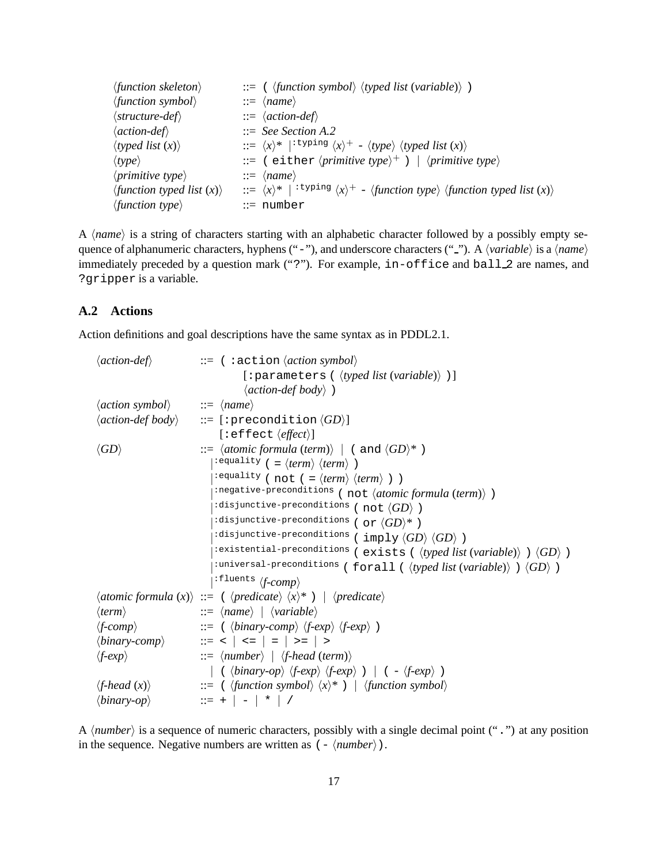| $\langle function \; skeleton \rangle$ | $\equiv$ ( $\langle function \, symbol \rangle$ $\langle typed \, list \, (variable) \rangle$ )                                                      |
|----------------------------------------|------------------------------------------------------------------------------------------------------------------------------------------------------|
| $\langle function \, symbol \rangle$   | $ ::= \langle name \rangle$                                                                                                                          |
| $\langle structure\text{-}def\rangle$  | $ ::= \langle action\text{-}def \rangle$                                                                                                             |
| $\langle action\text{-}def\rangle$     | $\therefore$ See Section A.2                                                                                                                         |
| $\langle$ typed list $(x)$             | $\therefore$ $\langle x \rangle^*$   <sup>: typing</sup> $\langle x \rangle^+$ – $\langle type \rangle$ $\langle typed$ <i>list</i> $(x)$ $\rangle$  |
| $\langle type \rangle$                 | ::= ( either $\langle primitive type \rangle^+$ )   $\langle primitive type \rangle$                                                                 |
| $\langle primitive type \rangle$       | $ ::= \langle name \rangle$                                                                                                                          |
| $\langle$ function typed list $(x)$    | ::= $\langle x \rangle^*$   <sup>: typing</sup> $\langle x \rangle^+$ – $\langle$ <i>function type</i> $\rangle$ <i>{function typed list</i> $(x)$ } |
| $\langle$ function type $\rangle$      | $ ::= number$                                                                                                                                        |

A  $\langle name \rangle$  is a string of characters starting with an alphabetic character followed by a possibly empty sequence of alphanumeric characters, hyphens ("-"), and underscore characters ("-"). A *{variable}* is a *{name}* immediately preceded by a question mark ("?"). For example, in-office and ball 2 are names, and ?gripper is a variable.

#### **A.2 Actions**

Action definitions and goal descriptions have the same syntax as in PDDL2.1.

| $\langle action\text{-}def\rangle$                            | $ ::= \langle : \text{action } \langle action \rangle$                                                                           |
|---------------------------------------------------------------|----------------------------------------------------------------------------------------------------------------------------------|
|                                                               | [: parameters ( $\langle \text{typed list}(\text{variable}) \rangle$ )]                                                          |
|                                                               | $\langle action\text{-}def\text{-}body\rangle$ )                                                                                 |
| $\langle action \, symbol \rangle$ ::= $\langle name \rangle$ |                                                                                                                                  |
|                                                               | $\langle action\text{-}def\text{-}body\rangle$ ::= [: precondition $\langle GD\rangle$ ]                                         |
|                                                               | $[:\text{effect} \langle \text{effect} \rangle]$                                                                                 |
| $\langle GD \rangle$                                          | $\Rightarrow$ $\langle atomic formula (term) \rangle$ $ $ $($ and $\langle GD \rangle^*$ $\rangle$                               |
|                                                               | $:$ equality ( = $\langle term \rangle$ $\langle term \rangle$ )                                                                 |
|                                                               | $:$ equality (not ( = $\langle term \rangle$ $\langle term \rangle$ ))                                                           |
|                                                               | : negative-preconditions (not (atomic formula (term)) )                                                                          |
|                                                               | :disjunctive-preconditions ( not $\langle GD \rangle$ )                                                                          |
|                                                               | :disjunctive-preconditions ( or $\langle GD\rangle^*$ )                                                                          |
|                                                               | :disjunctive-preconditions ( imply $\langle GD \rangle$ $\langle GD \rangle$ )                                                   |
|                                                               | : existential-preconditions (exists ( $\langle \textit{typed list}(\textit{variable}) \rangle$ ) $\langle \textit{GD} \rangle$ ) |
|                                                               | : universal-preconditions (forall ( $\langle \text{typed list}(\text{variable}) \rangle$ ) $\langle GD \rangle$ )                |
|                                                               | $\ket{\cdot \text{fluents} / f\text{-}comp}$                                                                                     |
|                                                               | $\langle atomic formula (x) \rangle ::= (\langle predicate \rangle \langle x \rangle^*)   \langle predicate \rangle$             |
| $\langle term \rangle$                                        | $ ::= \langle name \rangle \mid \langle variable \rangle$                                                                        |
| $\langle f\text{-}comp \rangle$                               | $\Rightarrow$ ( $\langle binary-comp \rangle$ $\langle f-exp \rangle$ $\langle f-exp \rangle$ )                                  |
|                                                               | $\langle binary-comp \rangle$ ::= <   <=   =   >=   >                                                                            |
| $\langle f\text{-}exp \rangle$                                | $ ::= \langle number \rangle \mid \langle f\text{-head (term)} \rangle$                                                          |
|                                                               | ( $\langle binary-op \rangle$ $\langle f-exp \rangle$ $\langle f-exp \rangle$ )   ( $-\langle f-exp \rangle$ )                   |
| $\langle$ f-head $(x)\rangle$                                 | ::= $\langle$ {function symbol} $\langle x \rangle^*$ } $\langle$ {function symbol}                                              |
| $\langle binary-op \rangle$                                   | $\frac{1}{2}$ = +   -   *   /                                                                                                    |

A *\number* is a sequence of numeric characters, possibly with a single decimal point (".") at any position in the sequence. Negative numbers are written as  $(-\langle number \rangle)$ .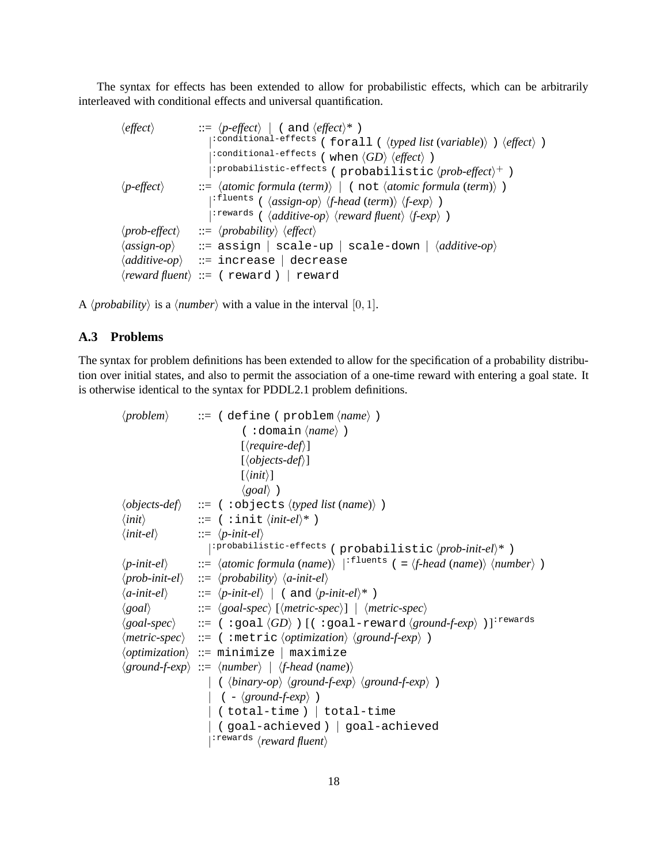The syntax for effects has been extended to allow for probabilistic effects, which can be arbitrarily interleaved with conditional effects and universal quantification.

```
\n
$$
\langle effect \rangle :: = \langle p\text{-effect} \rangle \mid (\text{ and } \langle effect \rangle^*)
$$
\n| "conditional-effects (forall ( \langle typical list (variable) \rangle ) \langle effect \rangle )\n| "conditional-effects ( when \langle GD \rangle \langle effect \rangle )\n| "probability" (probability) | (not \langle atomic formula (term) \rangle )\n| "fluents ( \langle assign-op \rangle \langle female (term) \rangle )\n| "rewards ( \langle additive-op \rangle \langle reward fluent \rangle \langle f-exp \rangle )\n| "rewards ( \langle additive-top \rangle \langle current fluent \rangle \langle f-exp \rangle )\n| := \langle probability \rangle \langle effect \rangle\n\langle assign-op \rangle :: = \text{assign} | scale-up | scale-down | \langle additive-op \rangle\n\langle additive-op \rangle :: = \text{increase} | decrease\n\langle reward fluent \rangle :: = \langle reward \rangle | reward\n
```

A  $\langle probability \rangle$  is a  $\langle number \rangle$  with a value in the interval [0, 1].

#### **A.3 Problems**

The syntax for problem definitions has been extended to allow for the specification of a probability distribution over initial states, and also to permit the association of a one-time reward with entering a goal state. It is otherwise identical to the syntax for PDDL2.1 problem definitions.

```
\langle problem \rangle ::= ( define ( problem \langle name \rangle )
                                        (:domain (name) )
                                       \lceil\require-def\rceil]
                                       [\langle objects\text{-}def \rangle]\vert \langle init \rangle \vert\langle goal \rangle)
\langle objects\text{-}def\rangle ::= ( : objects \langle typed\; list\; (name)\rangle )
\langle init \rangle ::= ( :init \langle init\text{-}el \rangle^* )
\langle init\text{-}el\rangle ::= \langle p\text{-}init\text{-}el\rangle|<sup>:probabilistic-effects</sup> (probabilistic \langle prob\text{-}init\text{-}el\rangle^*)
\langlep-init-el\rangle ::= \langleatomic formula (name)\rangle |<sup>:fluents</sup> ( = \langlef-head (name)\rangle \number\rangle )
\langle prob\text{-}init\text{-}el \rangle ::= \langle prob\text{-}init\text{-}el \rangle\langlea-init-el\rangle ::= \langlep-init-el\rangle | ( and \langlep-init-el\rangle* )
\langle goal \rangle ::= \langle goal\text{-}spec \rangle [\langle metric\text{-}spec \rangle] | \langle metric\text{-}spec \rangle\langle goal\text{-}spec \rangle ::= (:goal \langle GD \rangle) [(:goal-reward \langle ground\text{-}exp \rangle)]<sup>:rewards</sup>
\langle metric\text{-}spec\rangle ::= ( :metric \langle optimization\rangle \langle ground\text{-}f\text{-}exp\rangle )
\langleoptimization\rangle ::= minimize | maximize
\langle ground-f-exp \rangle ::= \langle number \rangle | \langle f-head (name) \rangle|\langle \langle binary-op \rangle \langle ground-f-exp \rangle \langle ground-f-exp \rangle(- \langle ground-f-exp \rangle)| ( total-time ) | total-time
                             | ( goal-achieved ) | goal-achieved
                             |<sup>: rewards</sup> \langlereward fluent\rangle
```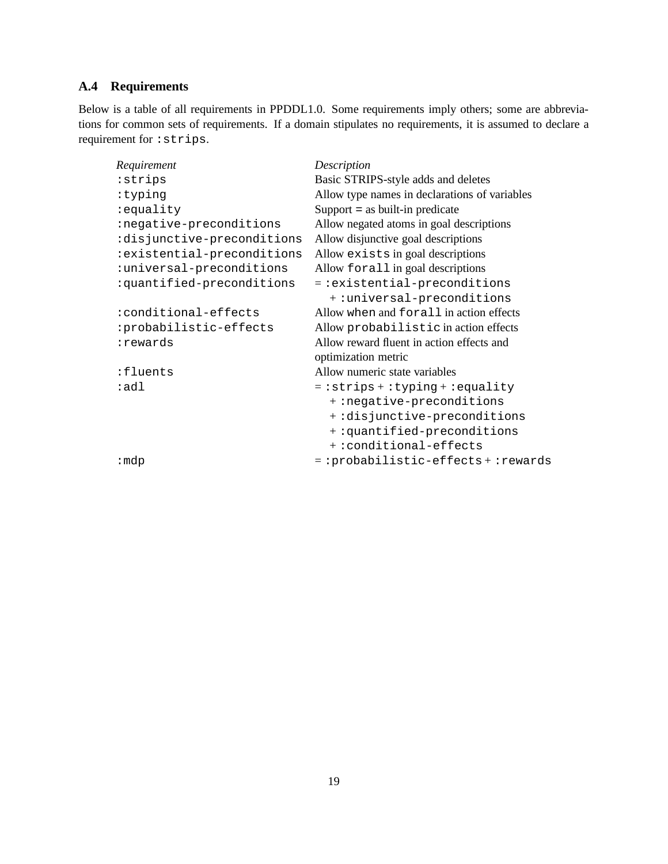## **A.4 Requirements**

Below is a table of all requirements in PPDDL1.0. Some requirements imply others; some are abbreviations for common sets of requirements. If a domain stipulates no requirements, it is assumed to declare a requirement for :strips.

| Requirement                | Description                                   |
|----------------------------|-----------------------------------------------|
| : strips                   | Basic STRIPS-style adds and deletes           |
| :typing                    | Allow type names in declarations of variables |
| :equality                  | Support $=$ as built-in predicate             |
| :negative-preconditions    | Allow negated atoms in goal descriptions      |
| :disjunctive-preconditions | Allow disjunctive goal descriptions           |
| :existential-preconditions | Allow exists in goal descriptions             |
| :universal-preconditions   | Allow for all in goal descriptions            |
| :quantified-preconditions  | $=$ : existential-preconditions               |
|                            | +: universal-preconditions                    |
| :conditional-effects       | Allow when and for all in action effects      |
| :probabilistic-effects     | Allow probabilistic in action effects         |
| :rewards                   | Allow reward fluent in action effects and     |
|                            | optimization metric                           |
| :fluents                   | Allow numeric state variables                 |
| :adl                       | $=$ : strips + : typing + : equality          |
|                            | +:negative-preconditions                      |
|                            | +:disjunctive-preconditions                   |
|                            | +:quantified-preconditions                    |
|                            | +: conditional-effects                        |
| : mdp                      | $= :probabilistic-effects + :rewards$         |
|                            |                                               |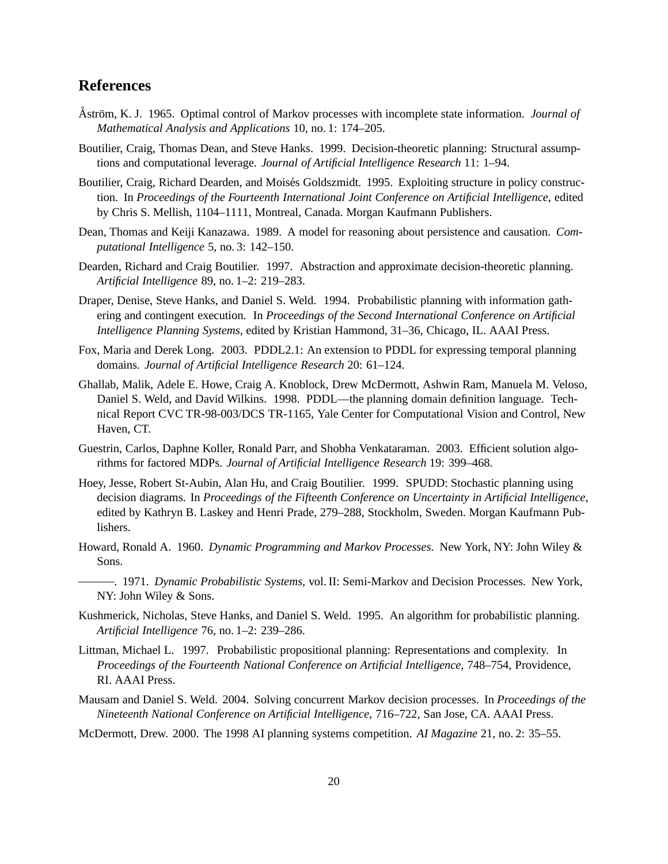## **References**

- Åström, K. J. 1965. Optimal control of Markov processes with incomplete state information. *Journal of Mathematical Analysis and Applications* 10, no. 1: 174–205.
- Boutilier, Craig, Thomas Dean, and Steve Hanks. 1999. Decision-theoretic planning: Structural assumptions and computational leverage. *Journal of Artificial Intelligence Research* 11: 1–94.
- Boutilier, Craig, Richard Dearden, and Moisés Goldszmidt. 1995. Exploiting structure in policy construction. In *Proceedings of the Fourteenth International Joint Conference on Artificial Intelligence*, edited by Chris S. Mellish, 1104–1111, Montreal, Canada. Morgan Kaufmann Publishers.
- Dean, Thomas and Keiji Kanazawa. 1989. A model for reasoning about persistence and causation. *Computational Intelligence* 5, no. 3: 142–150.
- Dearden, Richard and Craig Boutilier. 1997. Abstraction and approximate decision-theoretic planning. *Artificial Intelligence* 89, no. 1–2: 219–283.
- Draper, Denise, Steve Hanks, and Daniel S. Weld. 1994. Probabilistic planning with information gathering and contingent execution. In *Proceedings of the Second International Conference on Artificial Intelligence Planning Systems*, edited by Kristian Hammond, 31–36, Chicago, IL. AAAI Press.
- Fox, Maria and Derek Long. 2003. PDDL2.1: An extension to PDDL for expressing temporal planning domains. *Journal of Artificial Intelligence Research* 20: 61–124.
- Ghallab, Malik, Adele E. Howe, Craig A. Knoblock, Drew McDermott, Ashwin Ram, Manuela M. Veloso, Daniel S. Weld, and David Wilkins. 1998. PDDL—the planning domain definition language. Technical Report CVC TR-98-003/DCS TR-1165, Yale Center for Computational Vision and Control, New Haven, CT.
- Guestrin, Carlos, Daphne Koller, Ronald Parr, and Shobha Venkataraman. 2003. Efficient solution algorithms for factored MDPs. *Journal of Artificial Intelligence Research* 19: 399–468.
- Hoey, Jesse, Robert St-Aubin, Alan Hu, and Craig Boutilier. 1999. SPUDD: Stochastic planning using decision diagrams. In *Proceedings of the Fifteenth Conference on Uncertainty in Artificial Intelligence*, edited by Kathryn B. Laskey and Henri Prade, 279–288, Stockholm, Sweden. Morgan Kaufmann Publishers.
- Howard, Ronald A. 1960. *Dynamic Programming and Markov Processes*. New York, NY: John Wiley & Sons.
- . 1971. *Dynamic Probabilistic Systems*, vol. II: Semi-Markov and Decision Processes. New York, NY: John Wiley & Sons.
- Kushmerick, Nicholas, Steve Hanks, and Daniel S. Weld. 1995. An algorithm for probabilistic planning. *Artificial Intelligence* 76, no. 1–2: 239–286.
- Littman, Michael L. 1997. Probabilistic propositional planning: Representations and complexity. In *Proceedings of the Fourteenth National Conference on Artificial Intelligence*, 748–754, Providence, RI. AAAI Press.
- Mausam and Daniel S. Weld. 2004. Solving concurrent Markov decision processes. In *Proceedings of the Nineteenth National Conference on Artificial Intelligence*, 716–722, San Jose, CA. AAAI Press.
- McDermott, Drew. 2000. The 1998 AI planning systems competition. *AI Magazine* 21, no. 2: 35–55.